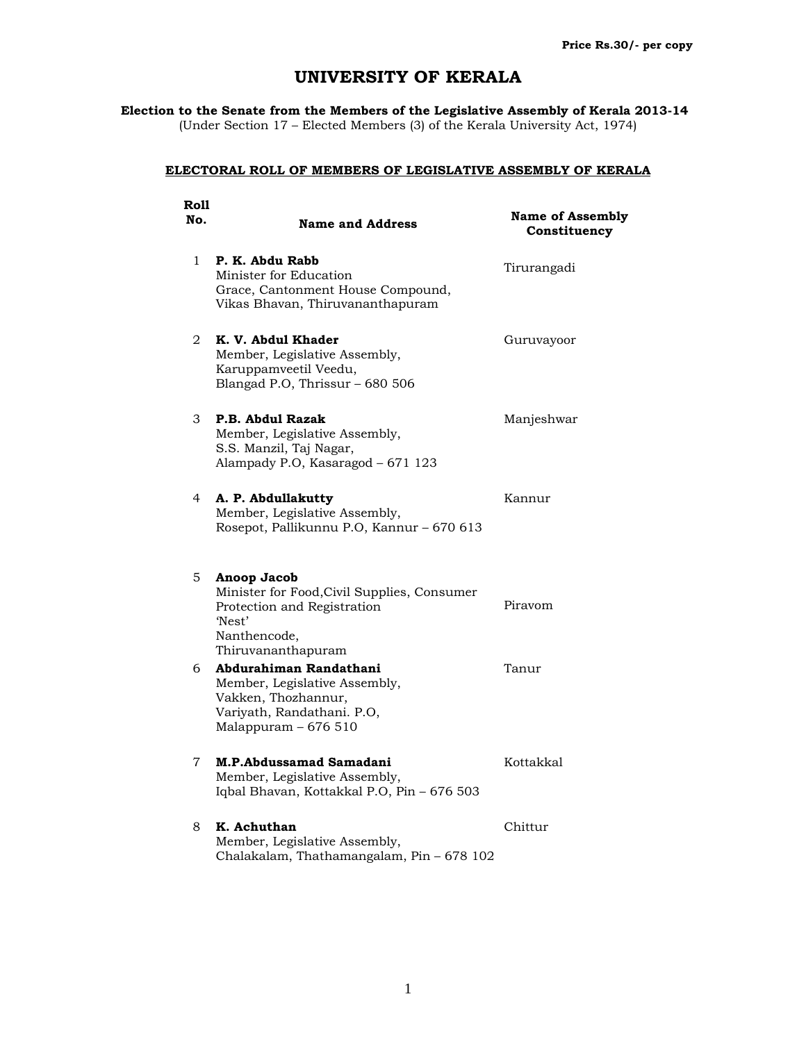## **UNIVERSITY OF KERALA**

## **Election to the Senate from the Members of the Legislative Assembly of Kerala 2013-14**

(Under Section 17 – Elected Members (3) of the Kerala University Act, 1974)

## **ELECTORAL ROLL OF MEMBERS OF LEGISLATIVE ASSEMBLY OF KERALA**

| <b>Roll</b><br>No. | <b>Name and Address</b>                                                                                                                   | <b>Name of Assembly</b><br>Constituency |
|--------------------|-------------------------------------------------------------------------------------------------------------------------------------------|-----------------------------------------|
| $\mathbf{1}$       | P. K. Abdu Rabb<br>Minister for Education<br>Grace, Cantonment House Compound,<br>Vikas Bhavan, Thiruvananthapuram                        | Tirurangadi                             |
| 2                  | K. V. Abdul Khader<br>Member, Legislative Assembly,<br>Karuppamveetil Veedu,<br>Blangad P.O, Thrissur - 680 506                           | Guruvayoor                              |
| 3                  | P.B. Abdul Razak<br>Member, Legislative Assembly,<br>S.S. Manzil, Taj Nagar,<br>Alampady P.O, Kasaragod - 671 123                         | Manjeshwar                              |
| 4                  | A. P. Abdullakutty<br>Member, Legislative Assembly,<br>Rosepot, Pallikunnu P.O, Kannur - 670 613                                          | Kannur                                  |
| 5                  | Anoop Jacob<br>Minister for Food, Civil Supplies, Consumer<br>Protection and Registration<br>'Nest'<br>Nanthencode,<br>Thiruvananthapuram | Pirayom                                 |
| 6                  | Abdurahiman Randathani<br>Member, Legislative Assembly,<br>Vakken, Thozhannur,<br>Variyath, Randathani. P.O,<br>Malappuram - 676 510      | Tanur                                   |
| 7                  | <b>M.P.Abdussamad Samadani</b><br>Member, Legislative Assembly,<br>Iqbal Bhavan, Kottakkal P.O, Pin - 676 503                             | Kottakkal                               |
| 8                  | K. Achuthan<br>Member, Legislative Assembly,<br>Chalakalam, Thathamangalam, Pin - 678 102                                                 | Chittur                                 |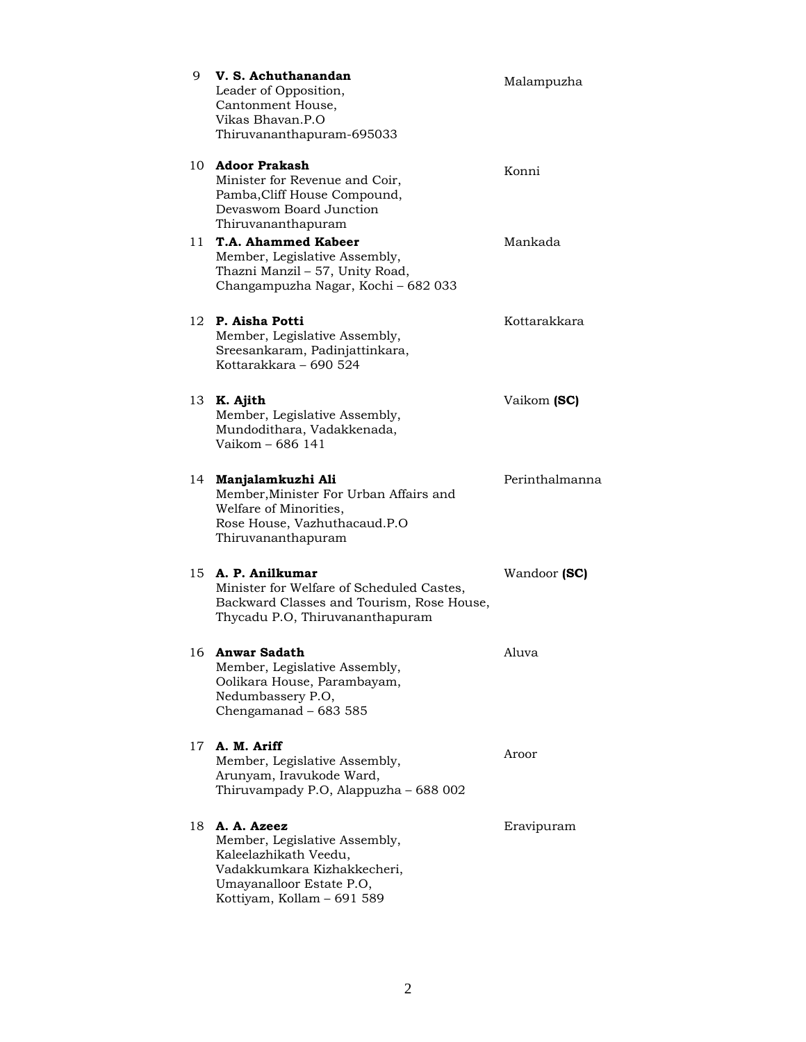| 9  | V. S. Achuthanandan<br>Leader of Opposition,<br>Cantonment House,<br>Vikas Bhavan.P.O<br>Thiruvananthapuram-695033                                             | Malampuzha     |
|----|----------------------------------------------------------------------------------------------------------------------------------------------------------------|----------------|
| 10 | <b>Adoor Prakash</b><br>Minister for Revenue and Coir,<br>Pamba, Cliff House Compound,<br>Devaswom Board Junction<br>Thiruvananthapuram                        | Konni          |
| 11 | <b>T.A. Ahammed Kabeer</b><br>Member, Legislative Assembly,<br>Thazni Manzil - 57, Unity Road,<br>Changampuzha Nagar, Kochi - 682 033                          | Mankada        |
| 12 | P. Aisha Potti<br>Member, Legislative Assembly,<br>Sreesankaram, Padinjattinkara,<br>Kottarakkara - 690 524                                                    | Kottarakkara   |
|    | 13 K. Ajith<br>Member, Legislative Assembly,<br>Mundodithara, Vadakkenada,<br>Vaikom - 686 141                                                                 | Vaikom (SC)    |
| 14 | Manjalamkuzhi Ali<br>Member, Minister For Urban Affairs and<br>Welfare of Minorities,<br>Rose House, Vazhuthacaud.P.O<br>Thiruvananthapuram                    | Perinthalmanna |
|    | 15 A. P. Anilkumar<br>Minister for Welfare of Scheduled Castes,<br>Backward Classes and Tourism, Rose House,<br>Thycadu P.O, Thiruvananthapuram                | Wandoor (SC)   |
| 16 | <b>Anwar Sadath</b><br>Member, Legislative Assembly,<br>Oolikara House, Parambayam,<br>Nedumbassery P.O,<br>Chengamanad - 683 585                              | Aluva          |
| 17 | A. M. Ariff<br>Member, Legislative Assembly,<br>Arunyam, Iravukode Ward,<br>Thiruvampady P.O, Alappuzha - 688 002                                              | Aroor          |
| 18 | A. A. Azeez<br>Member, Legislative Assembly,<br>Kaleelazhikath Veedu,<br>Vadakkumkara Kizhakkecheri,<br>Umayanalloor Estate P.O,<br>Kottiyam, Kollam - 691 589 | Eravipuram     |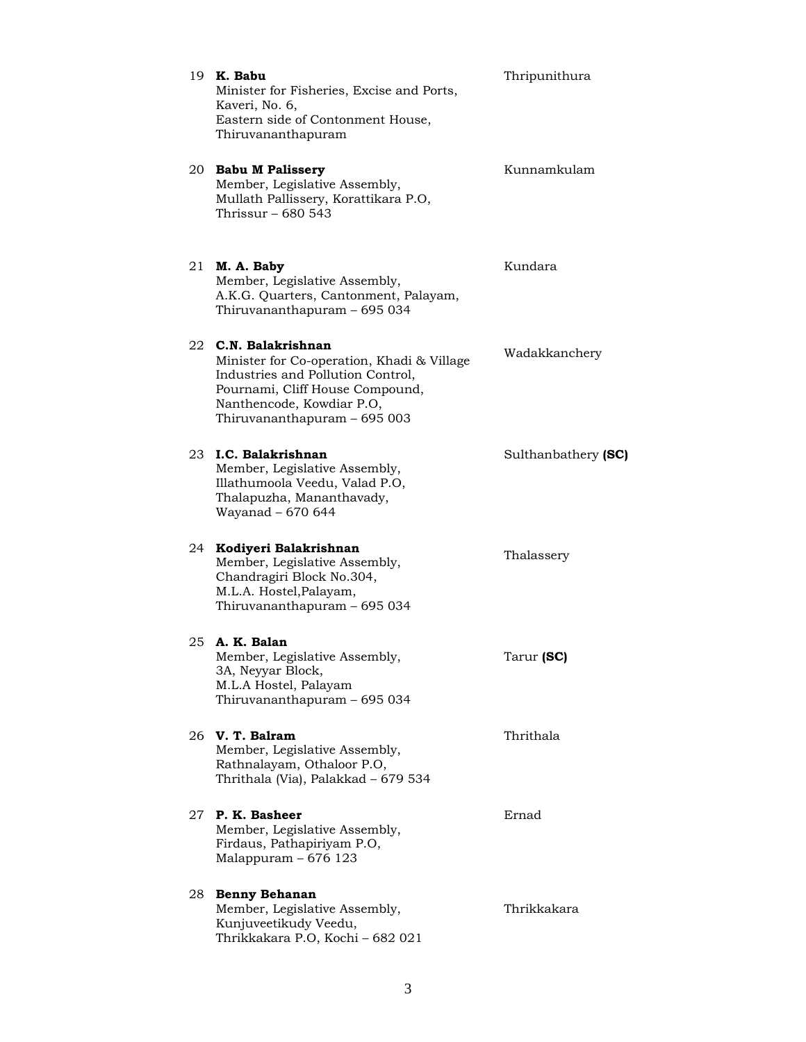| 19   | K. Babu<br>Minister for Fisheries, Excise and Ports,<br>Kaveri, No. 6,<br>Eastern side of Contonment House,<br>Thiruvananthapuram                                                                    | Thripunithura       |
|------|------------------------------------------------------------------------------------------------------------------------------------------------------------------------------------------------------|---------------------|
|      | 20 Babu M Palissery<br>Member, Legislative Assembly,<br>Mullath Pallissery, Korattikara P.O,<br>Thrissur - 680 543                                                                                   | Kunnamkulam         |
| 21   | M. A. Baby<br>Member, Legislative Assembly,<br>A.K.G. Quarters, Cantonment, Palayam,<br>Thiruvananthapuram - 695 034                                                                                 | Kundara             |
| 22 - | C.N. Balakrishnan<br>Minister for Co-operation, Khadi & Village<br>Industries and Pollution Control,<br>Pournami, Cliff House Compound,<br>Nanthencode, Kowdiar P.O,<br>Thiruvananthapuram - 695 003 | Wadakkanchery       |
| 23 - | I.C. Balakrishnan<br>Member, Legislative Assembly,<br>Illathumoola Veedu, Valad P.O,<br>Thalapuzha, Mananthavady,<br>Wayanad - 670 644                                                               | Sulthanbathery (SC) |
| 24 - | Kodiyeri Balakrishnan<br>Member, Legislative Assembly,<br>Chandragiri Block No.304,<br>M.L.A. Hostel, Palayam,<br>Thiruvananthapuram - 695 034                                                       | Thalassery          |
| 25 - | A. K. Balan<br>Member, Legislative Assembly,<br>3A, Neyyar Block,<br>M.L.A Hostel, Palayam<br>Thiruvananthapuram - 695 034                                                                           | Tarur (SC)          |
| 26   | V. T. Balram<br>Member, Legislative Assembly,<br>Rathnalayam, Othaloor P.O,<br>Thrithala (Via), Palakkad - 679 534                                                                                   | Thrithala           |
| 27   | P. K. Basheer<br>Member, Legislative Assembly,<br>Firdaus, Pathapiriyam P.O,<br>Malappuram $-676$ 123                                                                                                | Ernad               |
| 28.  | <b>Benny Behanan</b><br>Member, Legislative Assembly,<br>Kunjuveetikudy Veedu,<br>Thrikkakara P.O, Kochi - 682 021                                                                                   | Thrikkakara         |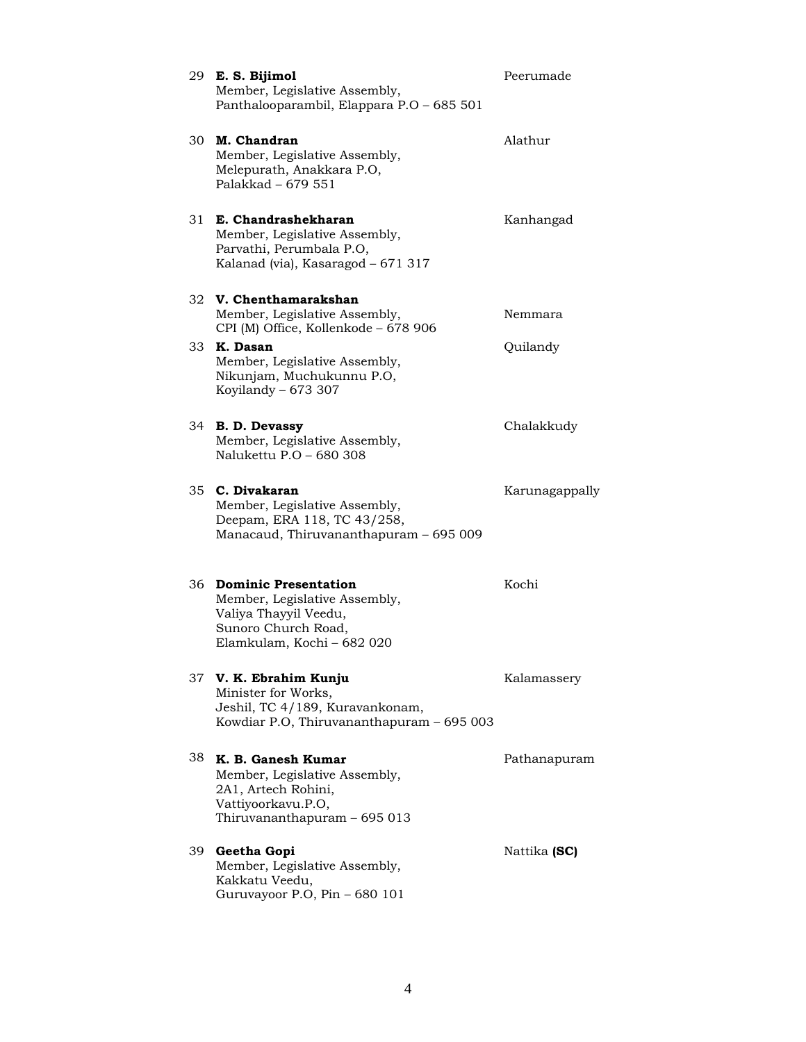| 29  | E. S. Bijimol<br>Member, Legislative Assembly,<br>Panthalooparambil, Elappara P.O - 685 501                                                | Peerumade      |
|-----|--------------------------------------------------------------------------------------------------------------------------------------------|----------------|
| 30  | M. Chandran<br>Member, Legislative Assembly,<br>Melepurath, Anakkara P.O,<br>Palakkad - 679 551                                            | Alathur        |
|     | 31 E. Chandrashekharan<br>Member, Legislative Assembly,<br>Parvathi, Perumbala P.O,<br>Kalanad (via), Kasaragod - 671 317                  | Kanhangad      |
| 32  | V. Chenthamarakshan<br>Member, Legislative Assembly,<br>CPI (M) Office, Kollenkode - 678 906                                               | Nemmara        |
| 33- | K. Dasan<br>Member, Legislative Assembly,<br>Nikunjam, Muchukunnu P.O,<br>Koyilandy $-673307$                                              | Quilandy       |
| 34  | <b>B. D. Devassy</b><br>Member, Legislative Assembly,<br>Nalukettu P.O - 680 308                                                           | Chalakkudy     |
| 35  | C. Divakaran<br>Member, Legislative Assembly,<br>Deepam, ERA 118, TC 43/258,<br>Manacaud, Thiruvananthapuram - 695 009                     | Karunagappally |
| 36  | <b>Dominic Presentation</b><br>Member, Legislative Assembly,<br>Valiya Thayyil Veedu,<br>Sunoro Church Road,<br>Elamkulam, Kochi - 682 020 | Kochi          |
|     | 37 V. K. Ebrahim Kunju<br>Minister for Works,<br>Jeshil, TC 4/189, Kuravankonam,<br>Kowdiar P.O, Thiruvananthapuram - 695 003              | Kalamassery    |
| 38  | K. B. Ganesh Kumar<br>Member, Legislative Assembly,<br>2A1, Artech Rohini,<br>Vattiyoorkavu.P.O,<br>Thiruvananthapuram - 695 013           | Pathanapuram   |
| 39  | Geetha Gopi<br>Member, Legislative Assembly,<br>Kakkatu Veedu,<br>Guruvayoor P.O, Pin - 680 101                                            | Nattika (SC)   |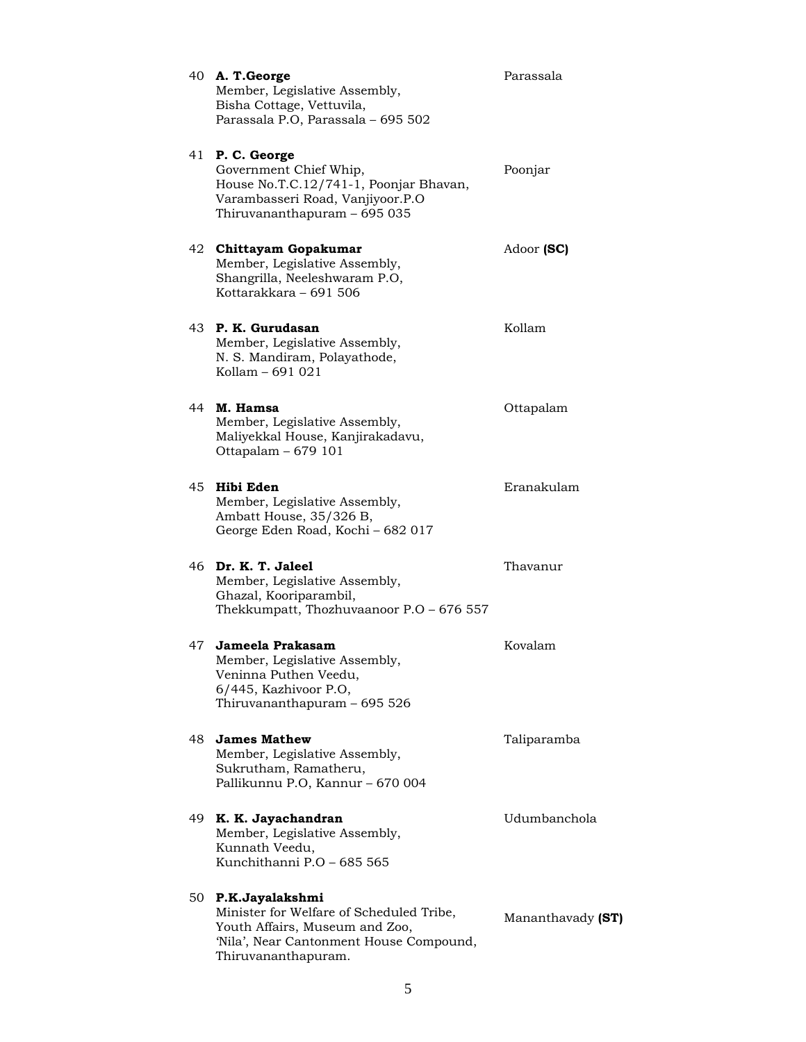|     | 40 A. T. George<br>Member, Legislative Assembly,<br>Bisha Cottage, Vettuvila,<br>Parassala P.O, Parassala - 695 502                                                | Parassala         |
|-----|--------------------------------------------------------------------------------------------------------------------------------------------------------------------|-------------------|
|     | 41 P. C. George<br>Government Chief Whip,<br>House No.T.C.12/741-1, Poonjar Bhavan,<br>Varambasseri Road, Vanjiyoor.P.O<br>Thiruvananthapuram - 695 035            | Poonjar           |
| 42  | Chittayam Gopakumar<br>Member, Legislative Assembly,<br>Shangrilla, Neeleshwaram P.O,<br>Kottarakkara - 691 506                                                    | Adoor (SC)        |
| 43. | P. K. Gurudasan<br>Member, Legislative Assembly,<br>N. S. Mandiram, Polayathode,<br>Kollam - 691 021                                                               | Kollam            |
| 44  | M. Hamsa<br>Member, Legislative Assembly,<br>Maliyekkal House, Kanjirakadavu,<br>Ottapalam - 679 101                                                               | Ottapalam         |
| 45  | Hibi Eden<br>Member, Legislative Assembly,<br>Ambatt House, 35/326 B,<br>George Eden Road, Kochi - 682 017                                                         | Eranakulam        |
|     | 46 Dr. K. T. Jaleel<br>Member, Legislative Assembly,<br>Ghazal, Kooriparambil,<br>Thekkumpatt, Thozhuvaanoor P.O - 676 557                                         | Thavanur          |
| 47  | Jameela Prakasam<br>Member, Legislative Assembly,<br>Veninna Puthen Veedu,<br>6/445, Kazhivoor P.O,<br>Thiruvananthapuram - 695 526                                | Kovalam           |
| 48  | <b>James Mathew</b><br>Member, Legislative Assembly,<br>Sukrutham, Ramatheru,<br>Pallikunnu P.O, Kannur - 670 004                                                  | Taliparamba       |
| 49  | K. K. Jayachandran<br>Member, Legislative Assembly,<br>Kunnath Veedu,<br>Kunchithanni P.O - 685 565                                                                | Udumbanchola      |
|     | 50 P.K.Jayalakshmi<br>Minister for Welfare of Scheduled Tribe,<br>Youth Affairs, Museum and Zoo,<br>'Nila', Near Cantonment House Compound,<br>Thiruvananthapuram. | Mananthavady (ST) |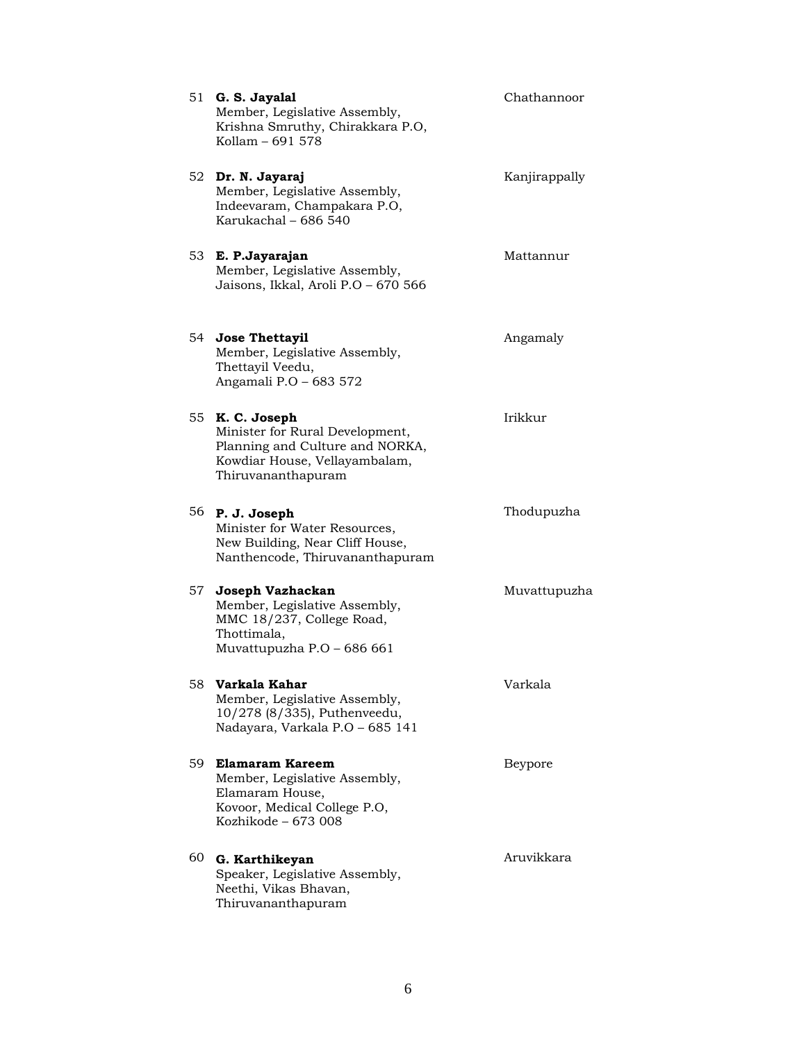|    | $51$ G. S. Jayalal<br>Member, Legislative Assembly,<br>Krishna Smruthy, Chirakkara P.O,<br>Kollam - 691 578                                 | Chathannoor   |
|----|---------------------------------------------------------------------------------------------------------------------------------------------|---------------|
|    | 52 Dr. N. Jayaraj<br>Member, Legislative Assembly,<br>Indeevaram, Champakara P.O,<br>Karukachal - 686 540                                   | Kanjirappally |
|    | 53 E. P. Jayarajan<br>Member, Legislative Assembly,<br>Jaisons, Ikkal, Aroli P.O - 670 566                                                  | Mattannur     |
|    | 54 Jose Thettayil<br>Member, Legislative Assembly,<br>Thettayil Veedu,<br>Angamali P.O - 683 572                                            | Angamaly      |
|    | 55 K.C. Joseph<br>Minister for Rural Development,<br>Planning and Culture and NORKA,<br>Kowdiar House, Vellayambalam,<br>Thiruvananthapuram | Irikkur       |
|    | 56 P. J. Joseph<br>Minister for Water Resources,<br>New Building, Near Cliff House,<br>Nanthencode, Thiruvananthapuram                      | Thodupuzha    |
|    | 57 Joseph Vazhackan<br>Member, Legislative Assembly,<br>MMC 18/237, College Road,<br>Thottimala,<br>Muvattupuzha P.O - 686 661              | Muvattupuzha  |
| 58 | Varkala Kahar<br>Member, Legislative Assembly,<br>10/278 (8/335), Puthenveedu,                                                              | Varkala       |
|    | Nadayara, Varkala P.O - 685 141                                                                                                             |               |
| 59 | Elamaram Kareem<br>Member, Legislative Assembly,<br>Elamaram House.<br>Kovoor, Medical College P.O,<br>Kozhikode - 673 008                  | Beypore       |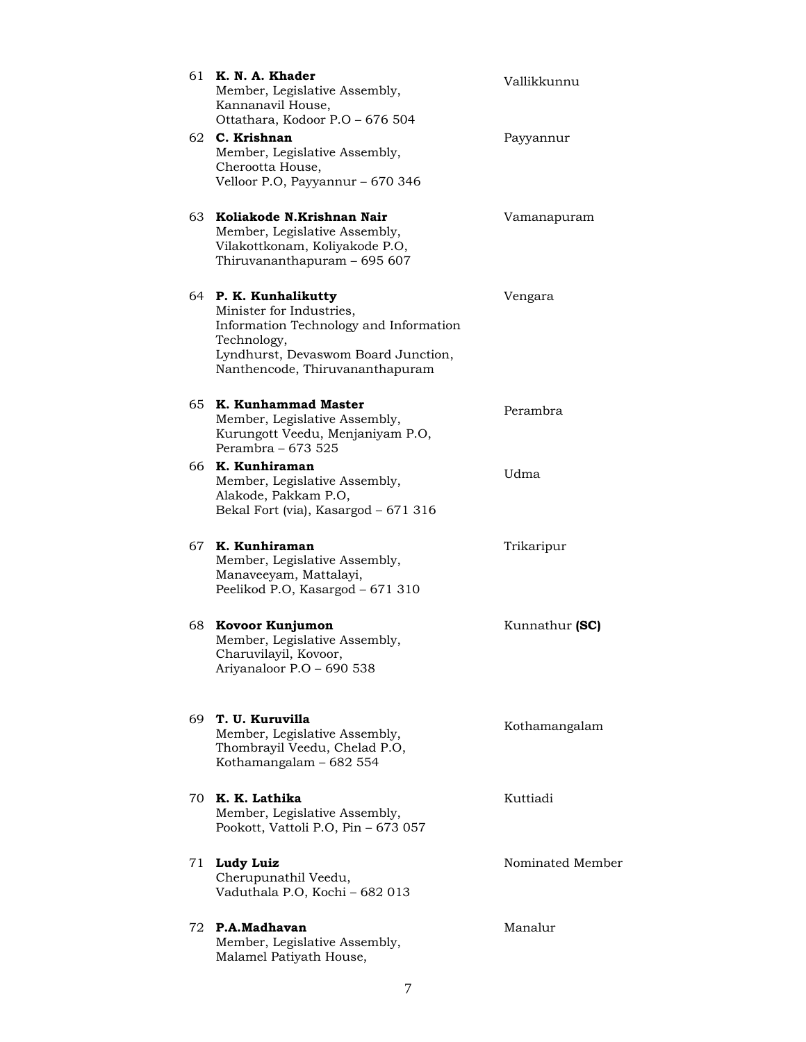| 61   | K. N. A. Khader<br>Member, Legislative Assembly,<br>Kannanavil House,<br>Ottathara, Kodoor P.O - 676 504                                                                             | Vallikkunnu      |
|------|--------------------------------------------------------------------------------------------------------------------------------------------------------------------------------------|------------------|
|      | 62 C. Krishnan<br>Member, Legislative Assembly,<br>Cherootta House,<br>Velloor P.O, Payyannur - 670 346                                                                              | Payyannur        |
| 63   | Koliakode N.Krishnan Nair<br>Member, Legislative Assembly,<br>Vilakottkonam, Koliyakode P.O,<br>Thiruvananthapuram - 695 607                                                         | Vamanapuram      |
|      | 64 P. K. Kunhalikutty<br>Minister for Industries,<br>Information Technology and Information<br>Technology,<br>Lyndhurst, Devaswom Board Junction,<br>Nanthencode, Thiruvananthapuram | Vengara          |
| 65   | K. Kunhammad Master<br>Member, Legislative Assembly,<br>Kurungott Veedu, Menjaniyam P.O,<br>Perambra - 673 525                                                                       | Perambra         |
| 66 - | K. Kunhiraman<br>Member, Legislative Assembly,<br>Alakode, Pakkam P.O,<br>Bekal Fort (via), Kasargod - 671 316                                                                       | Udma             |
| 67   | K. Kunhiraman<br>Member, Legislative Assembly,<br>Manaveeyam, Mattalayi,<br>Peelikod P.O, Kasargod - 671 310                                                                         | Trikaripur       |
| 68   | Kovoor Kunjumon<br>Member, Legislative Assembly,<br>Charuvilayil, Kovoor,<br>Ariyanaloor P.O - 690 538                                                                               | Kunnathur (SC)   |
| 69   | T. U. Kuruvilla<br>Member, Legislative Assembly,<br>Thombrayil Veedu, Chelad P.O,<br>Kothamangalam - 682 554                                                                         | Kothamangalam    |
| 70 - | K. K. Lathika<br>Member, Legislative Assembly,<br>Pookott, Vattoli P.O, Pin - 673 057                                                                                                | Kuttiadi         |
| 71   | Ludy Luiz<br>Cherupunathil Veedu,<br>Vaduthala P.O, Kochi - 682 013                                                                                                                  | Nominated Member |
| 72   | P.A.Madhavan<br>Member, Legislative Assembly,<br>Malamel Patiyath House,                                                                                                             | Manalur          |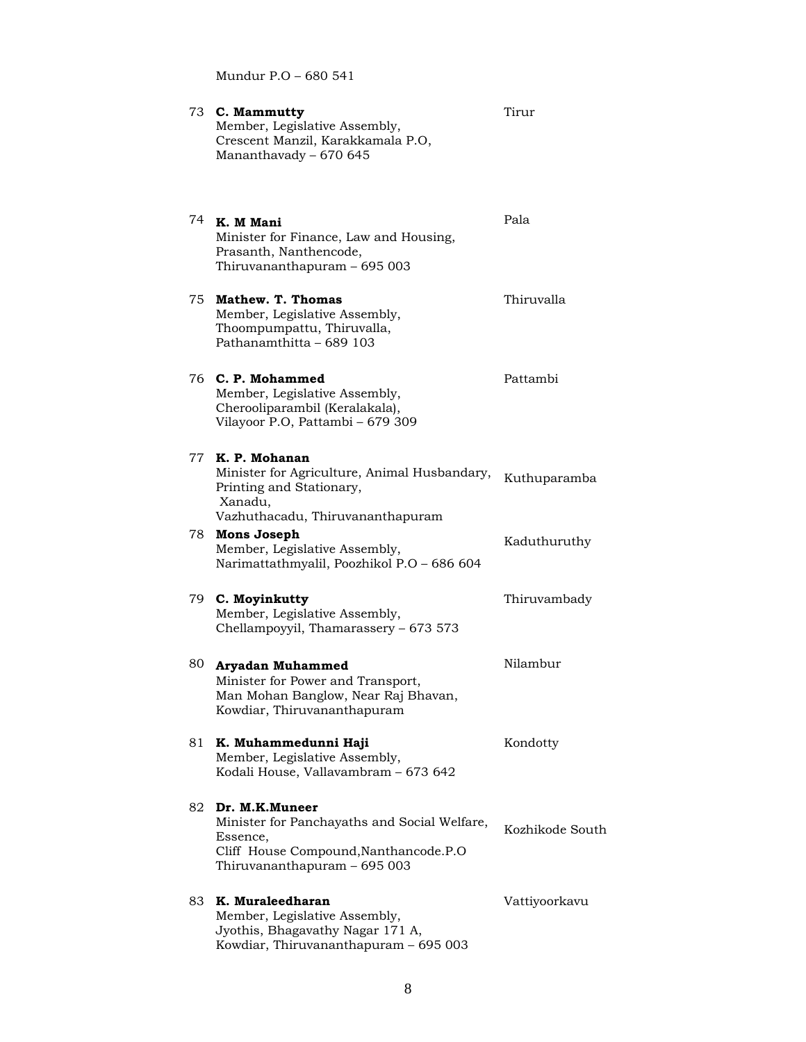Mundur P.O – 680 541

|    | 73 C. Mammutty<br>Member, Legislative Assembly,<br>Crescent Manzil, Karakkamala P.O,<br>Mananthavady - 670 645                                      | Tirur           |
|----|-----------------------------------------------------------------------------------------------------------------------------------------------------|-----------------|
| 74 | K. M Mani<br>Minister for Finance, Law and Housing,<br>Prasanth, Nanthencode,<br>Thiruvananthapuram - 695 003                                       | Pala            |
| 75 | Mathew. T. Thomas<br>Member, Legislative Assembly,<br>Thoompumpattu, Thiruvalla,<br>Pathanamthitta - 689 103                                        | Thiruvalla      |
|    | 76 C.P. Mohammed<br>Member, Legislative Assembly,<br>Cherooliparambil (Keralakala),<br>Vilayoor P.O, Pattambi - 679 309                             | Pattambi        |
| 77 | K. P. Mohanan<br>Minister for Agriculture, Animal Husbandary,<br>Printing and Stationary,<br>Xanadu,<br>Vazhuthacadu, Thiruvananthapuram            | Kuthuparamba    |
| 78 | Mons Joseph<br>Member, Legislative Assembly,<br>Narimattathmyalil, Poozhikol P.O - 686 604                                                          | Kaduthuruthy    |
| 79 | C. Moyinkutty<br>Member, Legislative Assembly,<br>Chellampoyyil, Thamarassery - 673 573                                                             | Thiruvambady    |
| 80 | <b>Aryadan Muhammed</b><br>Minister for Power and Transport,<br>Man Mohan Banglow, Near Raj Bhavan,<br>Kowdiar, Thiruvananthapuram                  | Nilambur        |
| 81 | K. Muhammedunni Haji<br>Member, Legislative Assembly,<br>Kodali House, Vallavambram - 673 642                                                       | Kondotty        |
| 82 | Dr. M.K.Muneer<br>Minister for Panchayaths and Social Welfare,<br>Essence,<br>Cliff House Compound, Nanthancode.P.O<br>Thiruvananthapuram - 695 003 | Kozhikode South |
| 83 | K. Muraleedharan<br>Member, Legislative Assembly,<br>Jyothis, Bhagavathy Nagar 171 A,<br>Kowdiar, Thiruvananthapuram - 695 003                      | Vattiyoorkavu   |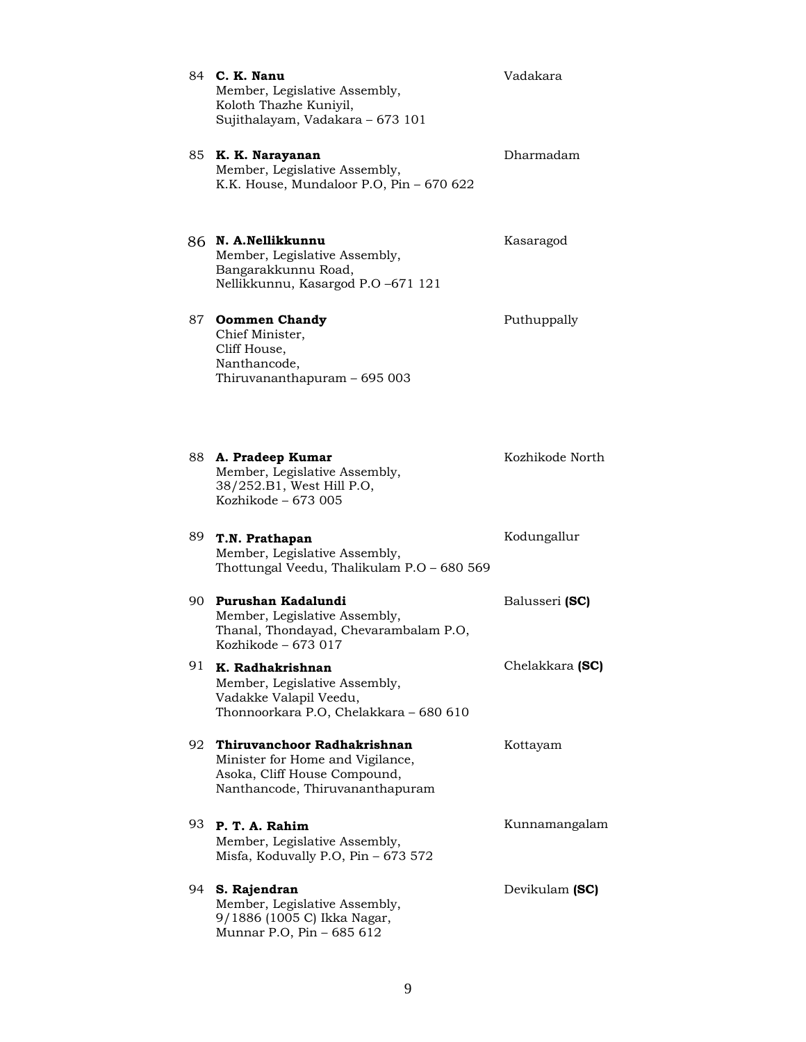|      | 84 <b>C. K. Nanu</b><br>Member, Legislative Assembly,<br>Koloth Thazhe Kuniyil,<br>Sujithalayam, Vadakara - 673 101                | Vadakara        |
|------|------------------------------------------------------------------------------------------------------------------------------------|-----------------|
|      | 85 K.K. Narayanan<br>Member, Legislative Assembly,<br>K.K. House, Mundaloor P.O, Pin - 670 622                                     | Dharmadam       |
|      | 86 N. A. Nellikkunnu<br>Member, Legislative Assembly,<br>Bangarakkunnu Road,<br>Nellikkunnu, Kasargod P.O -671 121                 | Kasaragod       |
| 87 - | <b>Oommen Chandy</b><br>Chief Minister,<br>Cliff House,<br>Nanthancode,<br>Thiruvananthapuram - 695 003                            | Puthuppally     |
|      | 88 A. Pradeep Kumar<br>Member, Legislative Assembly,<br>38/252.B1, West Hill P.O,<br>Kozhikode – 673 005                           | Kozhikode North |
| 89   | T.N. Prathapan<br>Member, Legislative Assembly,<br>Thottungal Veedu, Thalikulam P.O - 680 569                                      | Kodungallur     |
|      | 90 Purushan Kadalundi<br>Member, Legislative Assembly,<br>Thanal, Thondayad, Chevarambalam P.O,<br>Kozhikode - 673 017             | Balusseri (SC)  |
| 91   | K. Radhakrishnan<br>Member, Legislative Assembly,<br>Vadakke Valapil Veedu,<br>Thonnoorkara P.O, Chelakkara - 680 610              | Chelakkara (SC) |
| 92.  | Thiruvanchoor Radhakrishnan<br>Minister for Home and Vigilance,<br>Asoka, Cliff House Compound,<br>Nanthancode, Thiruvananthapuram | Kottayam        |
| 93.  | P. T. A. Rahim<br>Member, Legislative Assembly,<br>Misfa, Koduvally P.O, Pin - 673 572                                             | Kunnamangalam   |
| 94 - | S. Rajendran<br>Member, Legislative Assembly,<br>9/1886 (1005 C) Ikka Nagar,<br>Munnar P.O, Pin - 685 612                          | Devikulam (SC)  |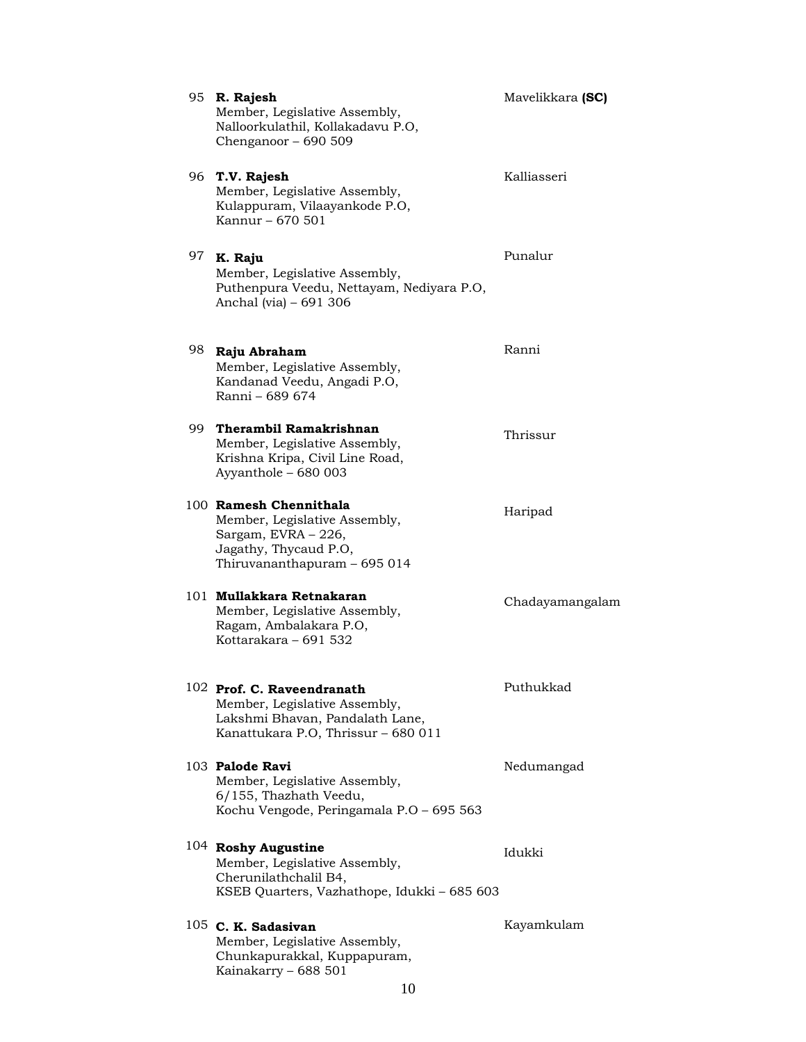|      | 95 R. Rajesh<br>Member, Legislative Assembly,<br>Nalloorkulathil, Kollakadavu P.O,<br>Chenganoor - 690 509                              | Mavelikkara (SC) |
|------|-----------------------------------------------------------------------------------------------------------------------------------------|------------------|
|      | 96 T.V. Rajesh<br>Member, Legislative Assembly,<br>Kulappuram, Vilaayankode P.O,<br>Kannur - 670 501                                    | Kalliasseri      |
| 97   | K. Raju<br>Member, Legislative Assembly,<br>Puthenpura Veedu, Nettayam, Nediyara P.O,<br>Anchal (via) - 691 306                         | Punalur          |
| 98   | Raju Abraham<br>Member, Legislative Assembly,<br>Kandanad Veedu, Angadi P.O,<br>Ranni - 689 674                                         | Ranni            |
| 99 - | Therambil Ramakrishnan<br>Member, Legislative Assembly,<br>Krishna Kripa, Civil Line Road,<br>Ayyanthole - 680 003                      | Thrissur         |
|      | 100 Ramesh Chennithala<br>Member, Legislative Assembly,<br>Sargam, EVRA - 226,<br>Jagathy, Thycaud P.O,<br>Thiruvananthapuram - 695 014 | Haripad          |
|      | 101 Mullakkara Retnakaran<br>Member, Legislative Assembly,<br>Ragam, Ambalakara P.O,<br>Kottarakara – 691 532                           | Chadayamangalam  |
|      | $102$ Prof. C. Raveendranath<br>Member, Legislative Assembly,<br>Lakshmi Bhavan, Pandalath Lane,<br>Kanattukara P.O, Thrissur - 680 011 | Puthukkad        |
|      | 103 Palode Ravi<br>Member, Legislative Assembly,<br>6/155, Thazhath Veedu,<br>Kochu Vengode, Peringamala P.O - 695 563                  | Nedumangad       |
|      | $104$ Roshy Augustine<br>Member, Legislative Assembly,<br>Cherunilathchalil B4,<br>KSEB Quarters, Vazhathope, Idukki - 685 603          | Idukki           |
|      | $105$ C. K. Sadasivan<br>Member, Legislative Assembly,<br>Chunkapurakkal, Kuppapuram,<br>Kainakarry - 688 501<br>10                     | Kayamkulam       |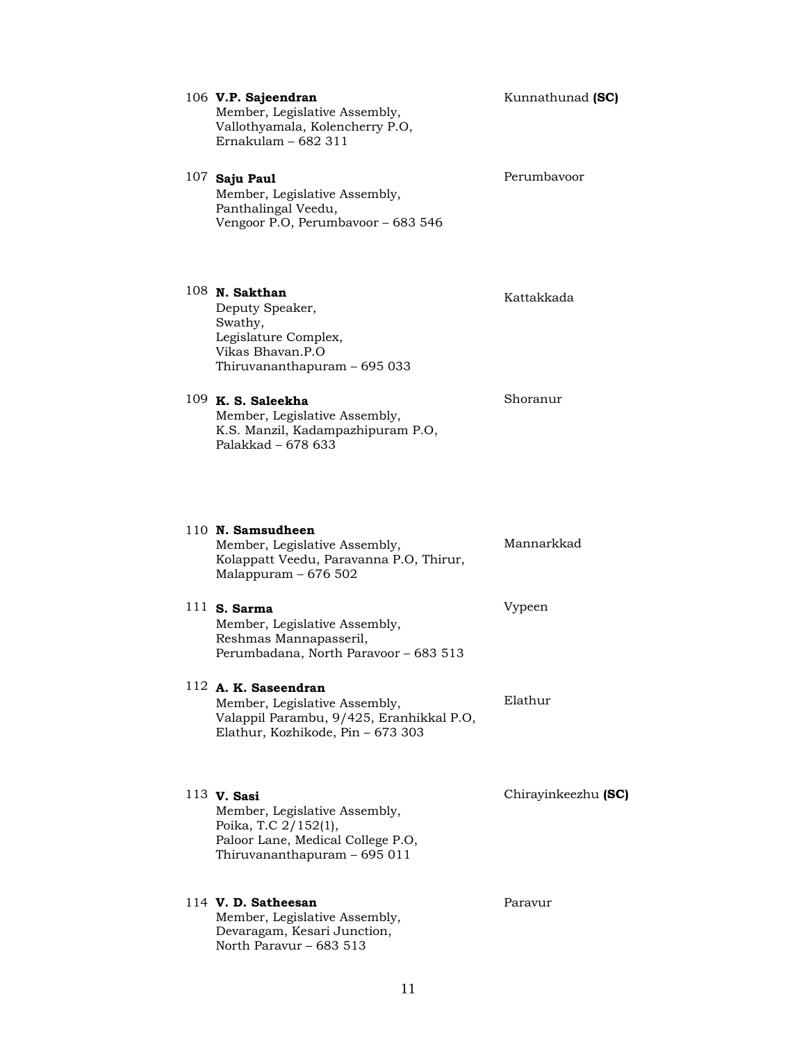|  | 106 V.P. Sajeendran<br>Member, Legislative Assembly,<br>Vallothyamala, Kolencherry P.O,<br>Ernakulam - 682 311                            | Kunnathunad (SC)    |
|--|-------------------------------------------------------------------------------------------------------------------------------------------|---------------------|
|  | $107$ Saju Paul<br>Member, Legislative Assembly,<br>Panthalingal Veedu,<br>Vengoor P.O, Perumbavoor - 683 546                             | Perumbayoor         |
|  | $108$ N. Sakthan<br>Deputy Speaker,<br>Swathy,<br>Legislature Complex,<br>Vikas Bhavan.P.O<br>Thiruvananthapuram - 695 033                | Kattakkada          |
|  | $109$ K. S. Saleekha<br>Member, Legislative Assembly,<br>K.S. Manzil, Kadampazhipuram P.O,<br>Palakkad - 678 633                          | Shoranur            |
|  | 110 N. Samsudheen<br>Member, Legislative Assembly,<br>Kolappatt Veedu, Paravanna P.O, Thirur,<br>Malappuram - 676 502                     | Mannarkkad          |
|  | $111$ S. Sarma<br>Member, Legislative Assembly,<br>Reshmas Mannapasseril,<br>Perumbadana, North Paravoor - 683 513                        | Vypeen              |
|  | $112$ A. K. Saseendran<br>Member, Legislative Assembly,<br>Valappil Parambu, 9/425, Eranhikkal P.O,<br>Elathur, Kozhikode, Pin - 673 303  | Elathur             |
|  | 113 V. Sasi<br>Member, Legislative Assembly,<br>Poika, T.C 2/152(1),<br>Paloor Lane, Medical College P.O,<br>Thiruvananthapuram - 695 011 | Chirayinkeezhu (SC) |
|  | $114$ V.D. Satheesan<br>Member, Legislative Assembly,<br>Devaragam, Kesari Junction,<br>North Paravur - 683 513                           | Paravur             |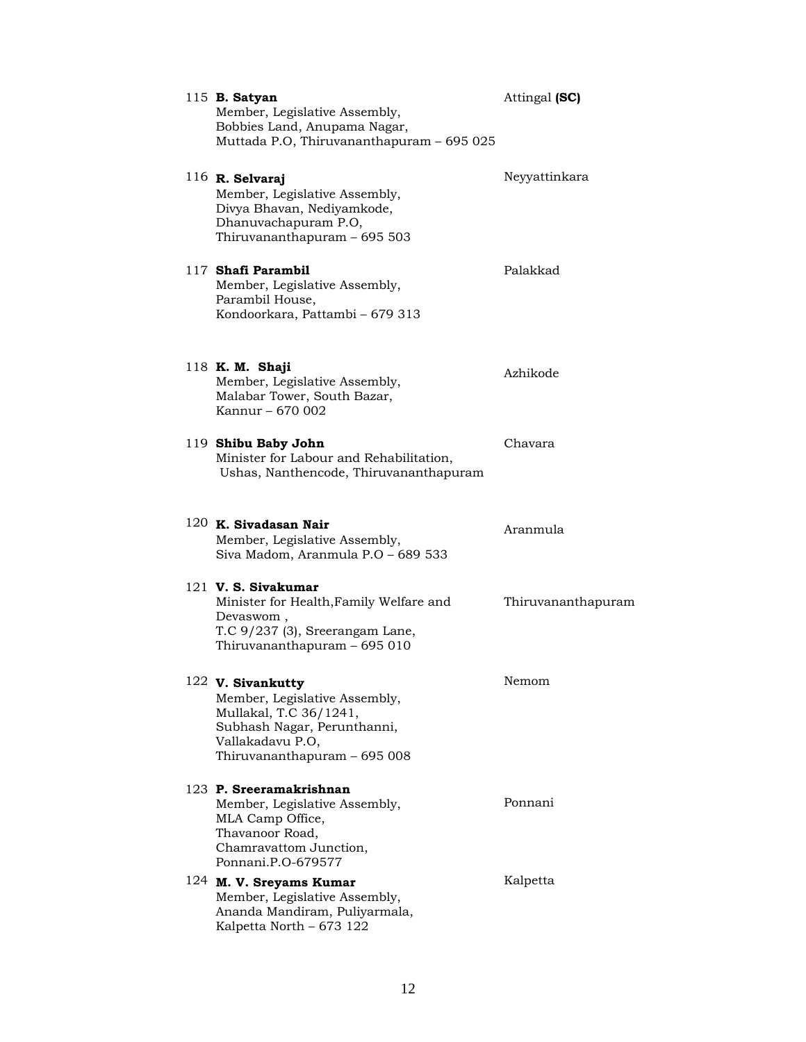| 115 <b>B. Satyan</b><br>Member, Legislative Assembly,<br>Bobbies Land, Anupama Nagar,<br>Muttada P.O, Thiruvananthapuram - 695 025                              | Attingal (SC)      |
|-----------------------------------------------------------------------------------------------------------------------------------------------------------------|--------------------|
| $116$ R. Selvaraj<br>Member, Legislative Assembly,<br>Divya Bhavan, Nediyamkode,<br>Dhanuvachapuram P.O,<br>Thiruvananthapuram - 695 503                        | Neyyattinkara      |
| 117 Shafi Parambil<br>Member, Legislative Assembly,<br>Parambil House,<br>Kondoorkara, Pattambi - 679 313                                                       | Palakkad           |
| 118 K. M. Shaji<br>Member, Legislative Assembly,<br>Malabar Tower, South Bazar,<br>Kannur - 670 002                                                             | Azhikode           |
| 119 Shibu Baby John<br>Minister for Labour and Rehabilitation,<br>Ushas, Nanthencode, Thiruvananthapuram                                                        | Chavara            |
| $120$ K. Sivadasan Nair<br>Member, Legislative Assembly,<br>Siva Madom, Aranmula P.O - 689 533                                                                  | Aranmula           |
| $121$ V. S. Sivakumar<br>Minister for Health, Family Welfare and<br>Devaswom,<br>T.C 9/237 (3), Sreerangam Lane,<br>Thiruvananthapuram - 695 010                | Thiruvananthapuram |
| 122 V. Sivankutty<br>Member, Legislative Assembly,<br>Mullakal, T.C 36/1241,<br>Subhash Nagar, Perunthanni,<br>Vallakadavu P.O,<br>Thiruvananthapuram - 695 008 | Nemom              |
| 123 P. Sreeramakrishnan<br>Member, Legislative Assembly,<br>MLA Camp Office,<br>Thavanoor Road,<br>Chamravattom Junction,<br>Ponnani.P.O-679577                 | Ponnani            |
| $124$ M. V. Sreyams Kumar<br>Member, Legislative Assembly,<br>Ananda Mandiram, Puliyarmala,<br>Kalpetta North - 673 122                                         | Kalpetta           |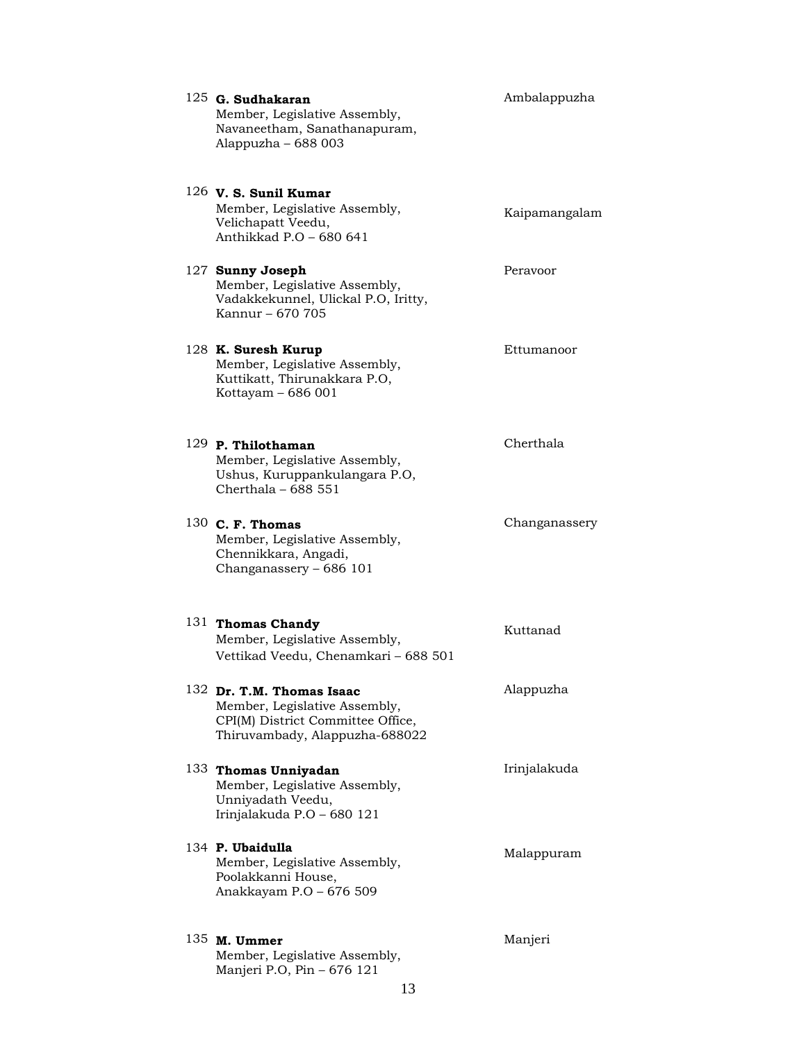| $125$ G. Sudhakaran<br>Member, Legislative Assembly,<br>Navaneetham, Sanathanapuram,<br>Alappuzha - 688 003                         | Ambalappuzha  |
|-------------------------------------------------------------------------------------------------------------------------------------|---------------|
| $126$ V. S. Sunil Kumar<br>Member, Legislative Assembly,<br>Velichapatt Veedu,<br>Anthikkad P.O - 680 641                           | Kaipamangalam |
| 127 Sunny Joseph<br>Member, Legislative Assembly,<br>Vadakkekunnel, Ulickal P.O, Iritty,<br>Kannur – 670 705                        | Peravoor      |
| 128 K. Suresh Kurup<br>Member, Legislative Assembly,<br>Kuttikatt, Thirunakkara P.O,<br>Kottayam $-686001$                          | Ettumanoor    |
| 129 P. Thilothaman<br>Member, Legislative Assembly,<br>Ushus, Kuruppankulangara P.O,<br>Cherthala - 688 551                         | Cherthala     |
| 130 C. F. Thomas<br>Member, Legislative Assembly,<br>Chennikkara, Angadi,<br>Changanassery - 686 101                                | Changanassery |
| 131 Thomas Chandy<br>Member, Legislative Assembly,<br>Vettikad Veedu, Chenamkari - 688 501                                          | Kuttanad      |
| $132$ Dr. T.M. Thomas Isaac<br>Member, Legislative Assembly,<br>CPI(M) District Committee Office,<br>Thiruvambady, Alappuzha-688022 | Alappuzha     |
| 133 Thomas Unniyadan<br>Member, Legislative Assembly,<br>Unniyadath Veedu,<br>Irinjalakuda P.O - 680 121                            | Irinjalakuda  |
| 134 P. Ubaidulla<br>Member, Legislative Assembly,<br>Poolakkanni House,<br>Anakkayam P.O - 676 509                                  | Malappuram    |
| 135 M. Ummer<br>Member, Legislative Assembly,<br>Manjeri P.O, Pin - 676 121                                                         | Manjeri       |